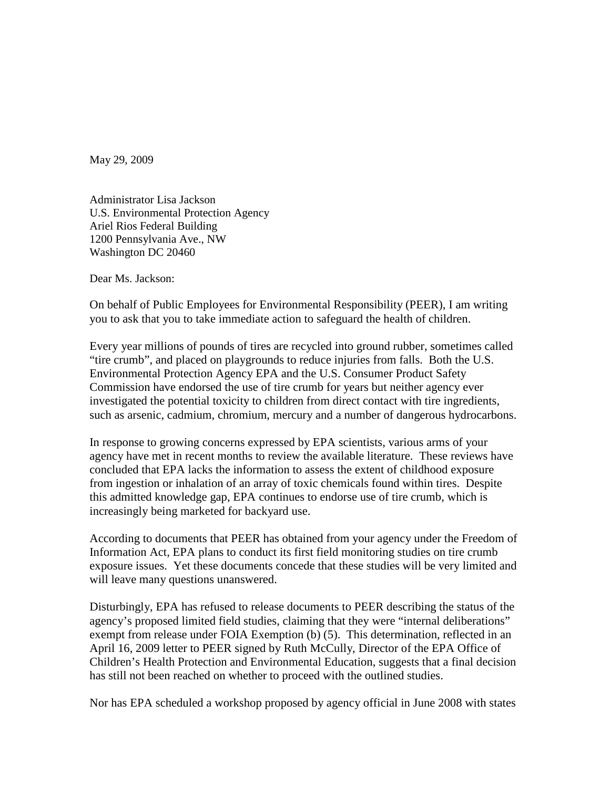May 29, 2009

Administrator Lisa Jackson U.S. Environmental Protection Agency Ariel Rios Federal Building 1200 Pennsylvania Ave., NW Washington DC 20460

Dear Ms. Jackson:

On behalf of Public Employees for Environmental Responsibility (PEER), I am writing you to ask that you to take immediate action to safeguard the health of children.

Every year millions of pounds of tires are recycled into ground rubber, sometimes called "tire crumb", and placed on playgrounds to reduce injuries from falls. Both the U.S. Environmental Protection Agency EPA and the U.S. Consumer Product Safety Commission have endorsed the use of tire crumb for years but neither agency ever investigated the potential toxicity to children from direct contact with tire ingredients, such as arsenic, cadmium, chromium, mercury and a number of dangerous hydrocarbons.

In response to growing concerns expressed by EPA scientists, various arms of your agency have met in recent months to review the available literature. These reviews have concluded that EPA lacks the information to assess the extent of childhood exposure from ingestion or inhalation of an array of toxic chemicals found within tires. Despite this admitted knowledge gap, EPA continues to endorse use of tire crumb, which is increasingly being marketed for backyard use.

According to documents that PEER has obtained from your agency under the Freedom of Information Act, EPA plans to conduct its first field monitoring studies on tire crumb exposure issues. Yet these documents concede that these studies will be very limited and will leave many questions unanswered.

Disturbingly, EPA has refused to release documents to PEER describing the status of the agency's proposed limited field studies, claiming that they were "internal deliberations" exempt from release under FOIA Exemption (b) (5). This determination, reflected in an April 16, 2009 letter to PEER signed by Ruth McCully, Director of the EPA Office of Children's Health Protection and Environmental Education, suggests that a final decision has still not been reached on whether to proceed with the outlined studies.

Nor has EPA scheduled a workshop proposed by agency official in June 2008 with states